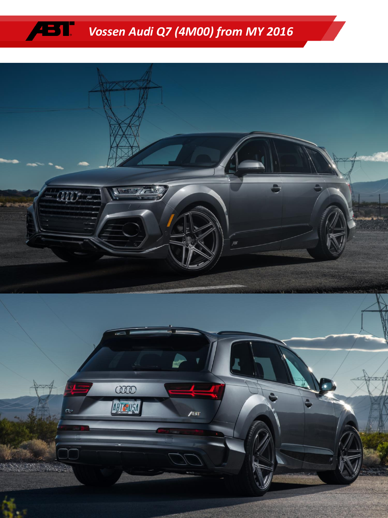## ÆT *Vossen Audi Q7 (4M00) from MY 2016*